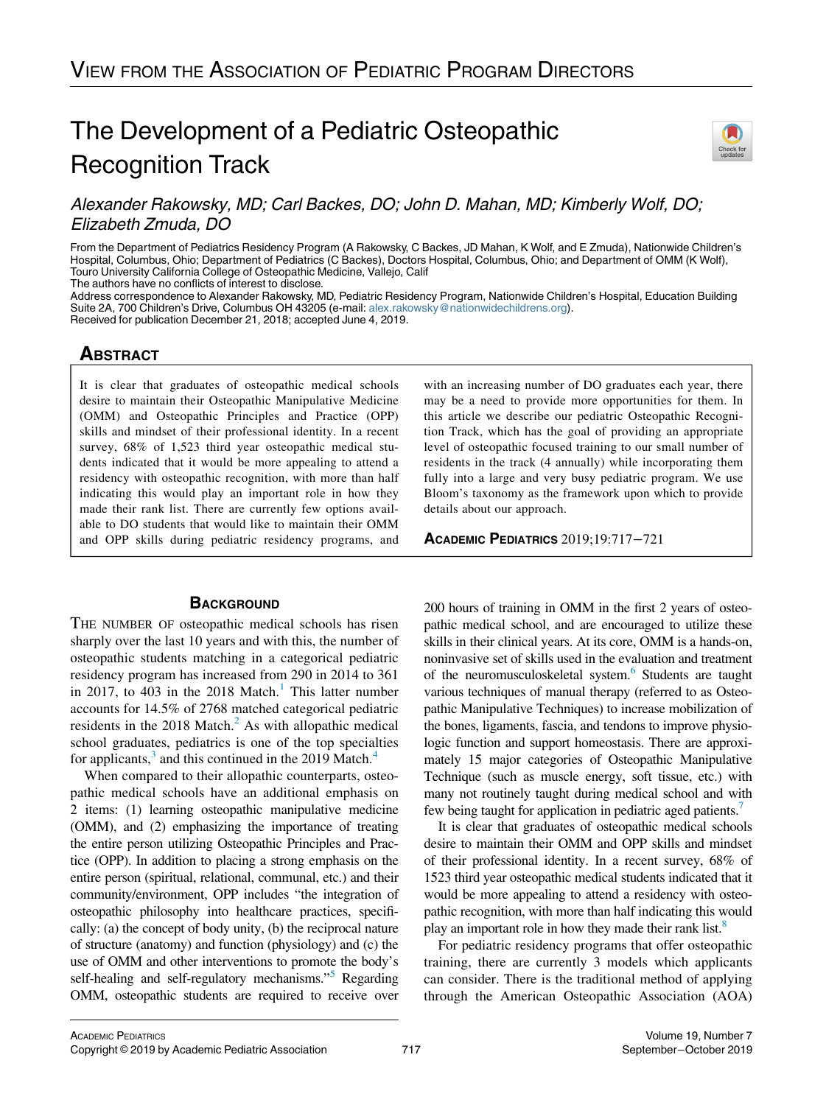# The Development of a Pediatric Osteopathic Recognition Track



# Alexander Rakowsky, MD; Carl Backes, DO; John D. Mahan, MD; Kimberly Wolf, DO; Elizabeth Zmuda, DO

From the Department of Pediatrics Residency Program (A Rakowsky, C Backes, JD Mahan, K Wolf, and E Zmuda), Nationwide Children's Hospital, Columbus, Ohio; Department of Pediatrics (C Backes), Doctors Hospital, Columbus, Ohio; and Department of OMM (K Wolf), Touro University California College of Osteopathic Medicine, Vallejo, Calif The authors have no conflicts of interest to disclose.

Address correspondence to Alexander Rakowsky, MD, Pediatric Residency Program, Nationwide Children's Hospital, Education Building Suite 2A, 700 Children's Drive, Columbus OH 43205 (e-mail: [alex.rakowsky@nationwidechildrens.org\)](mailto:alex.rakowsky@nationwidechildrens.org). Received for publication December 21, 2018; accepted June 4, 2019.

# **ABSTRACT**

It is clear that graduates of osteopathic medical schools desire to maintain their Osteopathic Manipulative Medicine (OMM) and Osteopathic Principles and Practice (OPP) skills and mindset of their professional identity. In a recent survey, 68% of 1,523 third year osteopathic medical students indicated that it would be more appealing to attend a residency with osteopathic recognition, with more than half indicating this would play an important role in how they made their rank list. There are currently few options available to DO students that would like to maintain their OMM and OPP skills during pediatric residency programs, and

### **BACKGROUND**

THE NUMBER OF osteopathic medical schools has risen sharply over the last 10 years and with this, the number of osteopathic students matching in a categorical pediatric residency program has increased from 290 in 2014 to 361 in 20[1](#page-4-0)7, to 403 in the 2018 Match.<sup>1</sup> This latter number accounts for 14.5% of 2768 matched categorical pediatric residents in the  $2018$  $2018$  Match.<sup>2</sup> As with allopathic medical school graduates, pediatrics is one of the top specialties for applicants, $3$  and this continued in the 2019 Match. $4$ 

When compared to their allopathic counterparts, osteopathic medical schools have an additional emphasis on 2 items: (1) learning osteopathic manipulative medicine (OMM), and (2) emphasizing the importance of treating the entire person utilizing Osteopathic Principles and Practice (OPP). In addition to placing a strong emphasis on the entire person (spiritual, relational, communal, etc.) and their community/environment, OPP includes "the integration of osteopathic philosophy into healthcare practices, specifically: (a) the concept of body unity, (b) the reciprocal nature of structure (anatomy) and function (physiology) and (c) the use of OMM and other interventions to promote the body's self-healing and self-regulatory mechanisms.<sup>[5](#page-4-4)</sup> Regarding OMM, osteopathic students are required to receive over

with an increasing number of DO graduates each year, there may be a need to provide more opportunities for them. In this article we describe our pediatric Osteopathic Recognition Track, which has the goal of providing an appropriate level of osteopathic focused training to our small number of residents in the track (4 annually) while incorporating them fully into a large and very busy pediatric program. We use Bloom's taxonomy as the framework upon which to provide details about our approach.

ACADEMIC PEDIATRICS 2019;19:717−<sup>721</sup>

200 hours of training in OMM in the first 2 years of osteopathic medical school, and are encouraged to utilize these skills in their clinical years. At its core, OMM is a hands-on, noninvasive set of skills used in the evaluation and treatment of the neuromusculoskeletal system.<sup>[6](#page-4-5)</sup> Students are taught various techniques of manual therapy (referred to as Osteopathic Manipulative Techniques) to increase mobilization of the bones, ligaments, fascia, and tendons to improve physiologic function and support homeostasis. There are approximately 15 major categories of Osteopathic Manipulative Technique (such as muscle energy, soft tissue, etc.) with many not routinely taught during medical school and with few being taught for application in pediatric aged patients.<sup>7</sup>

It is clear that graduates of osteopathic medical schools desire to maintain their OMM and OPP skills and mindset of their professional identity. In a recent survey, 68% of 1523 third year osteopathic medical students indicated that it would be more appealing to attend a residency with osteopathic recognition, with more than half indicating this would play an important role in how they made their rank list.<sup>8</sup>

For pediatric residency programs that offer osteopathic training, there are currently 3 models which applicants can consider. There is the traditional method of applying through the American Osteopathic Association (AOA)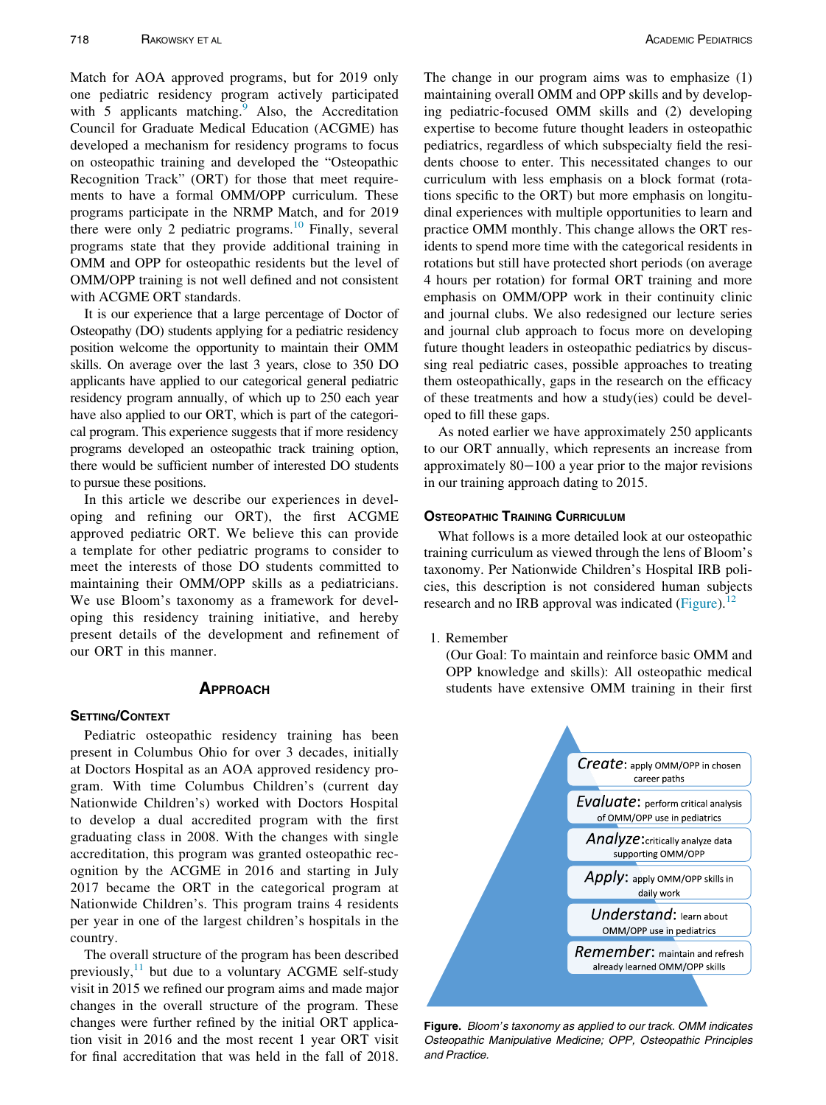Match for AOA approved programs, but for 2019 only one pediatric residency program actively participated with  $5$  applicants matching. Also, the Accreditation Council for Graduate Medical Education (ACGME) has developed a mechanism for residency programs to focus on osteopathic training and developed the "Osteopathic Recognition Track" (ORT) for those that meet requirements to have a formal OMM/OPP curriculum. These programs participate in the NRMP Match, and for 2019 there were only 2 pediatric programs.<sup>[10](#page-4-9)</sup> Finally, several programs state that they provide additional training in OMM and OPP for osteopathic residents but the level of OMM/OPP training is not well defined and not consistent with ACGME ORT standards.

It is our experience that a large percentage of Doctor of Osteopathy (DO) students applying for a pediatric residency position welcome the opportunity to maintain their OMM skills. On average over the last 3 years, close to 350 DO applicants have applied to our categorical general pediatric residency program annually, of which up to 250 each year have also applied to our ORT, which is part of the categorical program. This experience suggests that if more residency programs developed an osteopathic track training option, there would be sufficient number of interested DO students to pursue these positions.

In this article we describe our experiences in developing and refining our ORT), the first ACGME approved pediatric ORT. We believe this can provide a template for other pediatric programs to consider to meet the interests of those DO students committed to maintaining their OMM/OPP skills as a pediatricians. We use Bloom's taxonomy as a framework for developing this residency training initiative, and hereby present details of the development and refinement of our ORT in this manner.

### APPROACH APPROACH

<span id="page-1-0"></span>Pediatric osteopathic residency training has been present in Columbus Ohio for over 3 decades, initially at Doctors Hospital as an AOA approved residency program. With time Columbus Children's (current day Nationwide Children's) worked with Doctors Hospital to develop a dual accredited program with the first graduating class in 2008. With the changes with single accreditation, this program was granted osteopathic recognition by the ACGME in 2016 and starting in July 2017 became the ORT in the categorical program at Nationwide Children's. This program trains 4 residents per year in one of the largest children's hospitals in the country.

The overall structure of the program has been described previously, $^{11}$  $^{11}$  $^{11}$  but due to a voluntary ACGME self-study visit in 2015 we refined our program aims and made major changes in the overall structure of the program. These changes were further refined by the initial ORT application visit in 2016 and the most recent 1 year ORT visit for final accreditation that was held in the fall of 2018.

The change in our program aims was to emphasize (1) maintaining overall OMM and OPP skills and by developing pediatric-focused OMM skills and (2) developing expertise to become future thought leaders in osteopathic pediatrics, regardless of which subspecialty field the residents choose to enter. This necessitated changes to our curriculum with less emphasis on a block format (rotations specific to the ORT) but more emphasis on longitudinal experiences with multiple opportunities to learn and practice OMM monthly. This change allows the ORT residents to spend more time with the categorical residents in rotations but still have protected short periods (on average 4 hours per rotation) for formal ORT training and more emphasis on OMM/OPP work in their continuity clinic and journal clubs. We also redesigned our lecture series and journal club approach to focus more on developing future thought leaders in osteopathic pediatrics by discussing real pediatric cases, possible approaches to treating them osteopathically, gaps in the research on the efficacy of these treatments and how a study(ies) could be developed to fill these gaps.

As noted earlier we have approximately 250 applicants to our ORT annually, which represents an increase from approximately 80−100 a year prior to the major revisions in our training approach dating to 2015.

### **OSTEOPATHIC TRAINING CURRICULUM**

What follows is a more detailed look at our osteopathic training curriculum as viewed through the lens of Bloom's taxonomy. Per Nationwide Children's Hospital IRB policies, this description is not considered human subjects research and no IRB approval was indicated [\(Figure](#page-1-0)).<sup>[12](#page-4-11)</sup>

1. Remember

(Our Goal: To maintain and reinforce basic OMM and OPP knowledge and skills): All osteopathic medical students have extensive OMM training in their first



Figure. Bloom's taxonomy as applied to our track. OMM indicates Osteopathic Manipulative Medicine; OPP, Osteopathic Principles and Practice.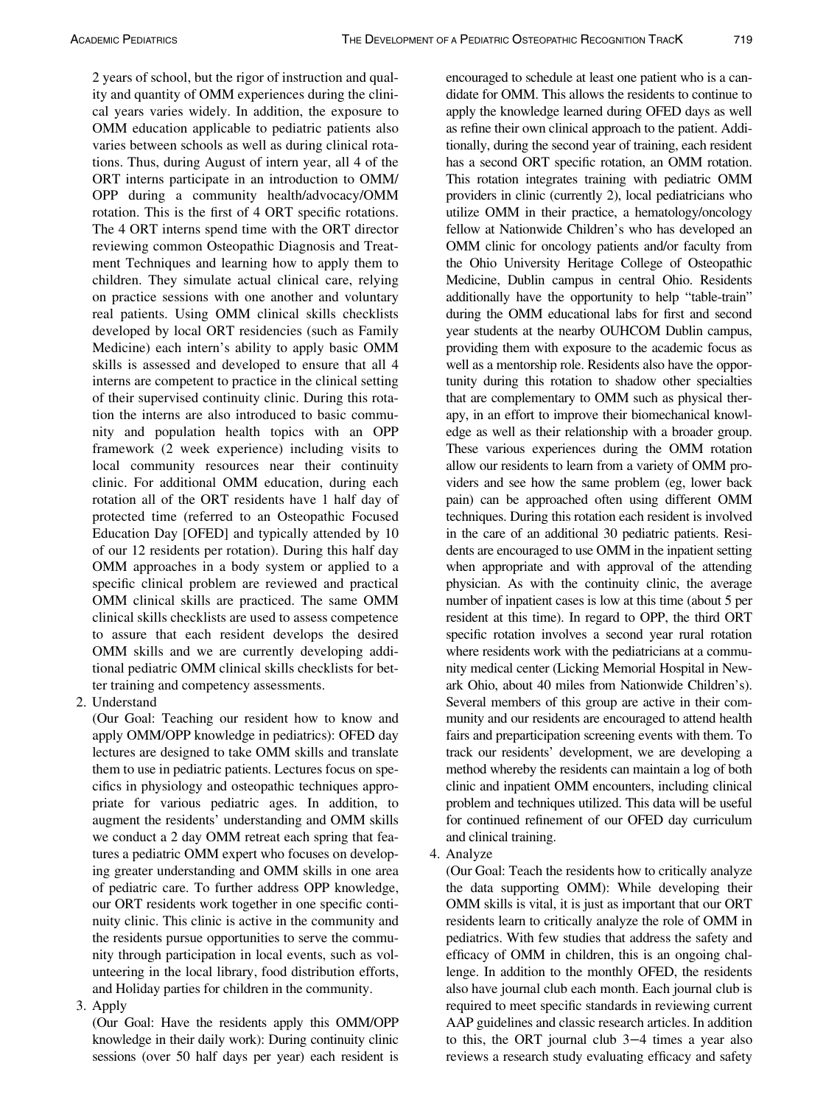2 years of school, but the rigor of instruction and quality and quantity of OMM experiences during the clinical years varies widely. In addition, the exposure to OMM education applicable to pediatric patients also varies between schools as well as during clinical rotations. Thus, during August of intern year, all 4 of the ORT interns participate in an introduction to OMM/ OPP during a community health/advocacy/OMM rotation. This is the first of 4 ORT specific rotations. The 4 ORT interns spend time with the ORT director reviewing common Osteopathic Diagnosis and Treatment Techniques and learning how to apply them to children. They simulate actual clinical care, relying on practice sessions with one another and voluntary real patients. Using OMM clinical skills checklists developed by local ORT residencies (such as Family Medicine) each intern's ability to apply basic OMM skills is assessed and developed to ensure that all 4 interns are competent to practice in the clinical setting of their supervised continuity clinic. During this rotation the interns are also introduced to basic community and population health topics with an OPP framework (2 week experience) including visits to local community resources near their continuity clinic. For additional OMM education, during each rotation all of the ORT residents have 1 half day of protected time (referred to an Osteopathic Focused Education Day [OFED] and typically attended by 10 of our 12 residents per rotation). During this half day OMM approaches in a body system or applied to a specific clinical problem are reviewed and practical OMM clinical skills are practiced. The same OMM clinical skills checklists are used to assess competence to assure that each resident develops the desired OMM skills and we are currently developing additional pediatric OMM clinical skills checklists for better training and competency assessments.

2. Understand

(Our Goal: Teaching our resident how to know and apply OMM/OPP knowledge in pediatrics): OFED day lectures are designed to take OMM skills and translate them to use in pediatric patients. Lectures focus on specifics in physiology and osteopathic techniques appropriate for various pediatric ages. In addition, to augment the residents' understanding and OMM skills we conduct a 2 day OMM retreat each spring that features a pediatric OMM expert who focuses on developing greater understanding and OMM skills in one area of pediatric care. To further address OPP knowledge, our ORT residents work together in one specific continuity clinic. This clinic is active in the community and the residents pursue opportunities to serve the community through participation in local events, such as volunteering in the local library, food distribution efforts, and Holiday parties for children in the community.

3. Apply

(Our Goal: Have the residents apply this OMM/OPP knowledge in their daily work): During continuity clinic sessions (over 50 half days per year) each resident is encouraged to schedule at least one patient who is a candidate for OMM. This allows the residents to continue to apply the knowledge learned during OFED days as well as refine their own clinical approach to the patient. Additionally, during the second year of training, each resident has a second ORT specific rotation, an OMM rotation. This rotation integrates training with pediatric OMM providers in clinic (currently 2), local pediatricians who utilize OMM in their practice, a hematology/oncology fellow at Nationwide Children's who has developed an OMM clinic for oncology patients and/or faculty from the Ohio University Heritage College of Osteopathic Medicine, Dublin campus in central Ohio. Residents additionally have the opportunity to help "table-train" during the OMM educational labs for first and second year students at the nearby OUHCOM Dublin campus, providing them with exposure to the academic focus as well as a mentorship role. Residents also have the opportunity during this rotation to shadow other specialties that are complementary to OMM such as physical therapy, in an effort to improve their biomechanical knowledge as well as their relationship with a broader group. These various experiences during the OMM rotation allow our residents to learn from a variety of OMM providers and see how the same problem (eg, lower back pain) can be approached often using different OMM techniques. During this rotation each resident is involved in the care of an additional 30 pediatric patients. Residents are encouraged to use OMM in the inpatient setting when appropriate and with approval of the attending physician. As with the continuity clinic, the average number of inpatient cases is low at this time (about 5 per resident at this time). In regard to OPP, the third ORT specific rotation involves a second year rural rotation where residents work with the pediatricians at a community medical center (Licking Memorial Hospital in Newark Ohio, about 40 miles from Nationwide Children's). Several members of this group are active in their community and our residents are encouraged to attend health fairs and preparticipation screening events with them. To track our residents' development, we are developing a method whereby the residents can maintain a log of both clinic and inpatient OMM encounters, including clinical problem and techniques utilized. This data will be useful for continued refinement of our OFED day curriculum and clinical training.

### 4. Analyze

(Our Goal: Teach the residents how to critically analyze the data supporting OMM): While developing their OMM skills is vital, it is just as important that our ORT residents learn to critically analyze the role of OMM in pediatrics. With few studies that address the safety and efficacy of OMM in children, this is an ongoing challenge. In addition to the monthly OFED, the residents also have journal club each month. Each journal club is required to meet specific standards in reviewing current AAP guidelines and classic research articles. In addition to this, the ORT journal club 3−4 times a year also reviews a research study evaluating efficacy and safety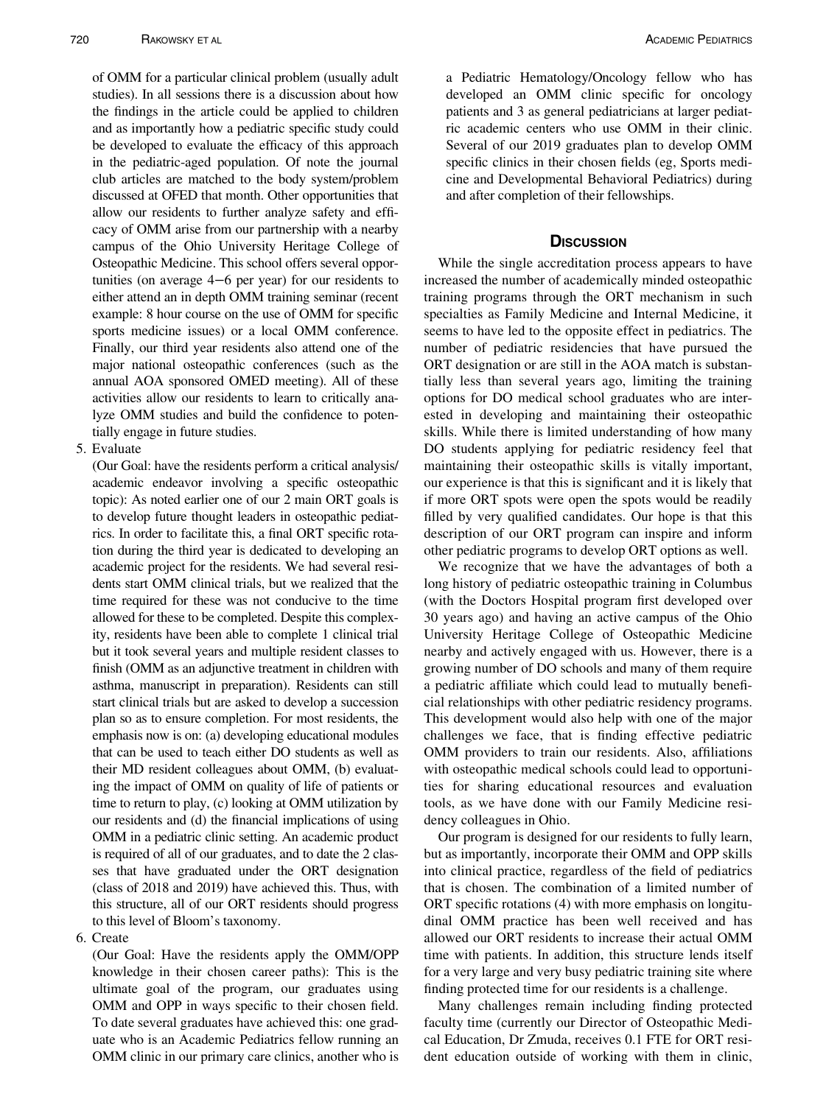of OMM for a particular clinical problem (usually adult studies). In all sessions there is a discussion about how the findings in the article could be applied to children and as importantly how a pediatric specific study could be developed to evaluate the efficacy of this approach in the pediatric-aged population. Of note the journal club articles are matched to the body system/problem discussed at OFED that month. Other opportunities that allow our residents to further analyze safety and efficacy of OMM arise from our partnership with a nearby campus of the Ohio University Heritage College of Osteopathic Medicine. This school offers several opportunities (on average 4−6 per year) for our residents to either attend an in depth OMM training seminar (recent example: 8 hour course on the use of OMM for specific sports medicine issues) or a local OMM conference. Finally, our third year residents also attend one of the major national osteopathic conferences (such as the annual AOA sponsored OMED meeting). All of these activities allow our residents to learn to critically analyze OMM studies and build the confidence to potentially engage in future studies.

5. Evaluate

(Our Goal: have the residents perform a critical analysis/ academic endeavor involving a specific osteopathic topic): As noted earlier one of our 2 main ORT goals is to develop future thought leaders in osteopathic pediatrics. In order to facilitate this, a final ORT specific rotation during the third year is dedicated to developing an academic project for the residents. We had several residents start OMM clinical trials, but we realized that the time required for these was not conducive to the time allowed for these to be completed. Despite this complexity, residents have been able to complete 1 clinical trial but it took several years and multiple resident classes to finish (OMM as an adjunctive treatment in children with asthma, manuscript in preparation). Residents can still start clinical trials but are asked to develop a succession plan so as to ensure completion. For most residents, the emphasis now is on: (a) developing educational modules that can be used to teach either DO students as well as their MD resident colleagues about OMM, (b) evaluating the impact of OMM on quality of life of patients or time to return to play, (c) looking at OMM utilization by our residents and (d) the financial implications of using OMM in a pediatric clinic setting. An academic product is required of all of our graduates, and to date the 2 classes that have graduated under the ORT designation (class of 2018 and 2019) have achieved this. Thus, with this structure, all of our ORT residents should progress to this level of Bloom's taxonomy.

#### 6. Create

(Our Goal: Have the residents apply the OMM/OPP knowledge in their chosen career paths): This is the ultimate goal of the program, our graduates using OMM and OPP in ways specific to their chosen field. To date several graduates have achieved this: one graduate who is an Academic Pediatrics fellow running an OMM clinic in our primary care clinics, another who is a Pediatric Hematology/Oncology fellow who has developed an OMM clinic specific for oncology patients and 3 as general pediatricians at larger pediatric academic centers who use OMM in their clinic. Several of our 2019 graduates plan to develop OMM specific clinics in their chosen fields (eg, Sports medicine and Developmental Behavioral Pediatrics) during and after completion of their fellowships.

While the single accreditation process appears to have increased the number of academically minded osteopathic training programs through the ORT mechanism in such specialties as Family Medicine and Internal Medicine, it seems to have led to the opposite effect in pediatrics. The number of pediatric residencies that have pursued the ORT designation or are still in the AOA match is substantially less than several years ago, limiting the training options for DO medical school graduates who are interested in developing and maintaining their osteopathic skills. While there is limited understanding of how many DO students applying for pediatric residency feel that maintaining their osteopathic skills is vitally important, our experience is that this is significant and it is likely that if more ORT spots were open the spots would be readily filled by very qualified candidates. Our hope is that this description of our ORT program can inspire and inform other pediatric programs to develop ORT options as well.

We recognize that we have the advantages of both a long history of pediatric osteopathic training in Columbus (with the Doctors Hospital program first developed over 30 years ago) and having an active campus of the Ohio University Heritage College of Osteopathic Medicine nearby and actively engaged with us. However, there is a growing number of DO schools and many of them require a pediatric affiliate which could lead to mutually beneficial relationships with other pediatric residency programs. This development would also help with one of the major challenges we face, that is finding effective pediatric OMM providers to train our residents. Also, affiliations with osteopathic medical schools could lead to opportunities for sharing educational resources and evaluation tools, as we have done with our Family Medicine residency colleagues in Ohio.

Our program is designed for our residents to fully learn, but as importantly, incorporate their OMM and OPP skills into clinical practice, regardless of the field of pediatrics that is chosen. The combination of a limited number of ORT specific rotations (4) with more emphasis on longitudinal OMM practice has been well received and has allowed our ORT residents to increase their actual OMM time with patients. In addition, this structure lends itself for a very large and very busy pediatric training site where finding protected time for our residents is a challenge.

Many challenges remain including finding protected faculty time (currently our Director of Osteopathic Medical Education, Dr Zmuda, receives 0.1 FTE for ORT resident education outside of working with them in clinic,